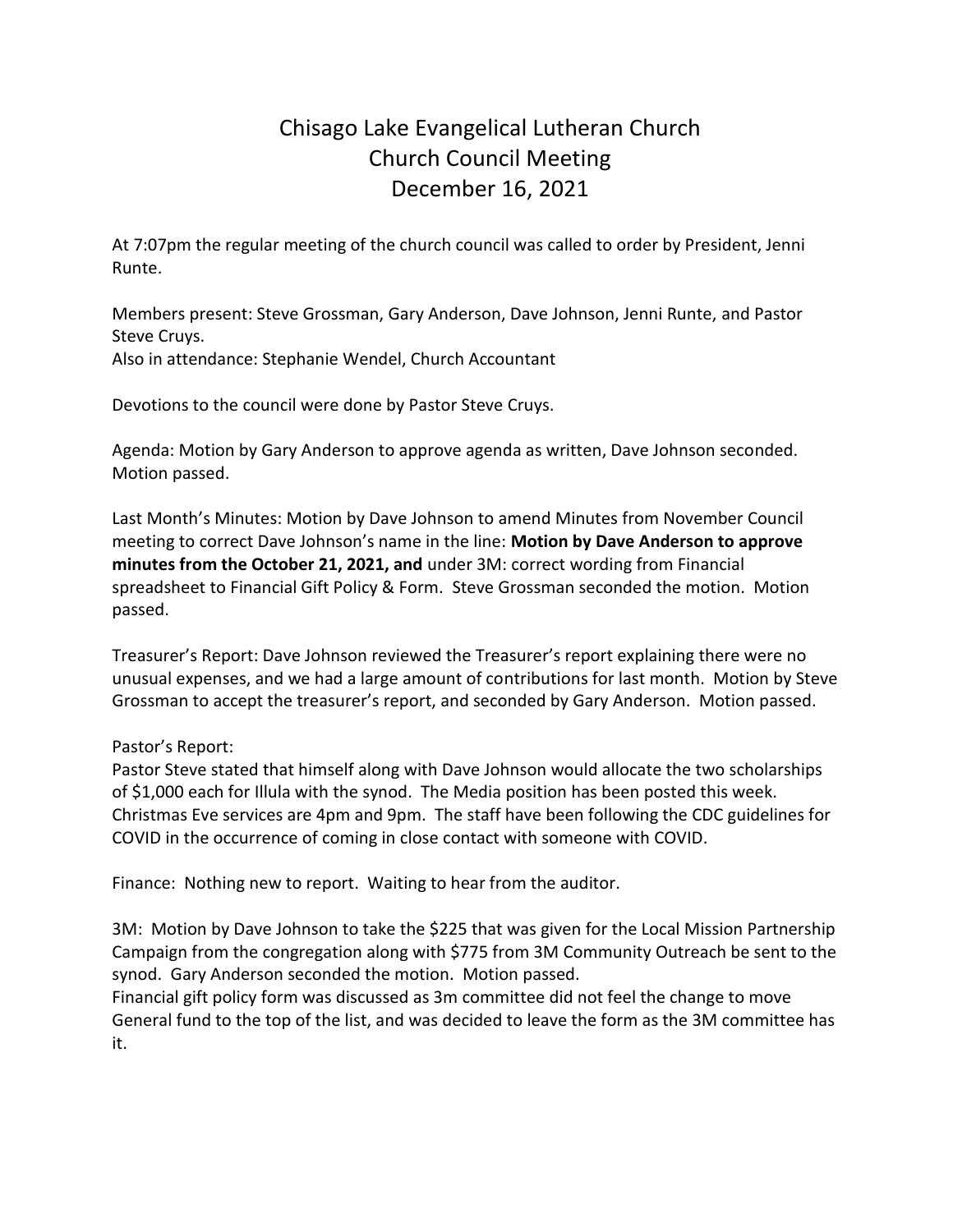## Chisago Lake Evangelical Lutheran Church Church Council Meeting December 16, 2021

At 7:07pm the regular meeting of the church council was called to order by President, Jenni Runte.

Members present: Steve Grossman, Gary Anderson, Dave Johnson, Jenni Runte, and Pastor Steve Cruys.

Also in attendance: Stephanie Wendel, Church Accountant

Devotions to the council were done by Pastor Steve Cruys.

Agenda: Motion by Gary Anderson to approve agenda as written, Dave Johnson seconded. Motion passed.

Last Month's Minutes: Motion by Dave Johnson to amend Minutes from November Council meeting to correct Dave Johnson's name in the line: **Motion by Dave Anderson to approve minutes from the October 21, 2021, and** under 3M: correct wording from Financial spreadsheet to Financial Gift Policy & Form. Steve Grossman seconded the motion. Motion passed.

Treasurer's Report: Dave Johnson reviewed the Treasurer's report explaining there were no unusual expenses, and we had a large amount of contributions for last month. Motion by Steve Grossman to accept the treasurer's report, and seconded by Gary Anderson. Motion passed.

## Pastor's Report:

Pastor Steve stated that himself along with Dave Johnson would allocate the two scholarships of \$1,000 each for Illula with the synod. The Media position has been posted this week. Christmas Eve services are 4pm and 9pm. The staff have been following the CDC guidelines for COVID in the occurrence of coming in close contact with someone with COVID.

Finance: Nothing new to report. Waiting to hear from the auditor.

3M: Motion by Dave Johnson to take the \$225 that was given for the Local Mission Partnership Campaign from the congregation along with \$775 from 3M Community Outreach be sent to the synod. Gary Anderson seconded the motion. Motion passed.

Financial gift policy form was discussed as 3m committee did not feel the change to move General fund to the top of the list, and was decided to leave the form as the 3M committee has it.